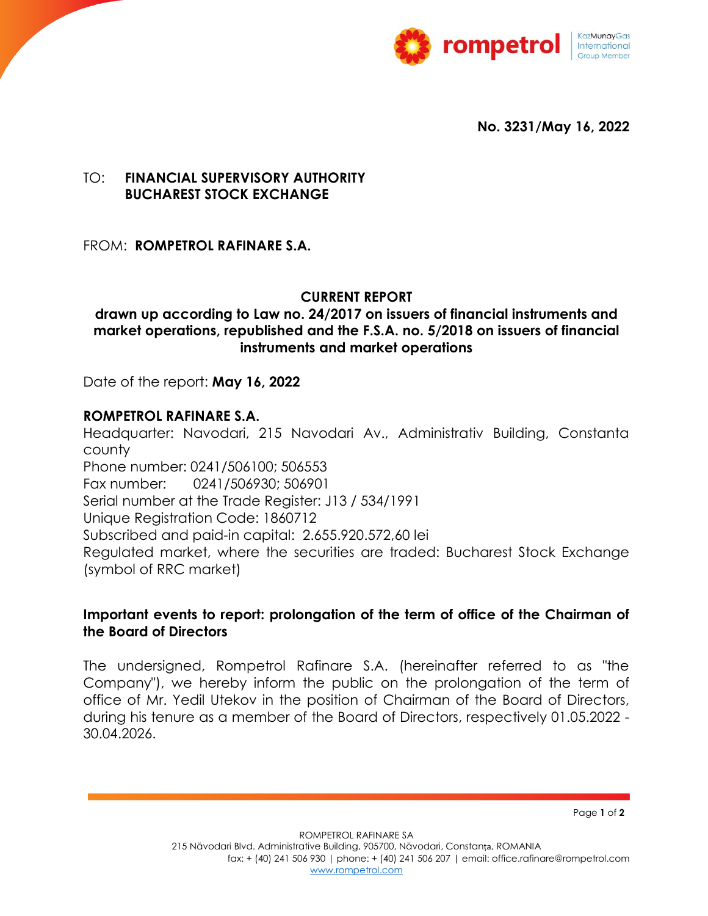

**No. 3231/May 16, 2022**

## TO: **FINANCIAL SUPERVISORY AUTHORITY BUCHAREST STOCK EXCHANGE**

FROM: **ROMPETROL RAFINARE S.A.**

## **CURRENT REPORT**

## **drawn up according to Law no. 24/2017 on issuers of financial instruments and market operations, republished and the F.S.A. no. 5/2018 on issuers of financial instruments and market operations**

Date of the report: **May 16, 2022**

## **ROMPETROL RAFINARE S.A.**

Headquarter: Navodari, 215 Navodari Av., Administrativ Building, Constanta county

Phone number: 0241/506100; 506553 Fax number: 0241/506930; 506901

Serial number at the Trade Register: J13 / 534/1991

Unique Registration Code: 1860712

Subscribed and paid-in capital: 2.655.920.572,60 lei

Regulated market, where the securities are traded: Bucharest Stock Exchange (symbol of RRC market)

# **Important events to report: prolongation of the term of office of the Chairman of the Board of Directors**

The undersigned, Rompetrol Rafinare S.A. (hereinafter referred to as "the Company"), we hereby inform the public on the prolongation of the term of office of Mr. Yedil Utekov in the position of Chairman of the Board of Directors, during his tenure as a member of the Board of Directors, respectively 01.05.2022 - 30.04.2026.

Page **1** of **2**